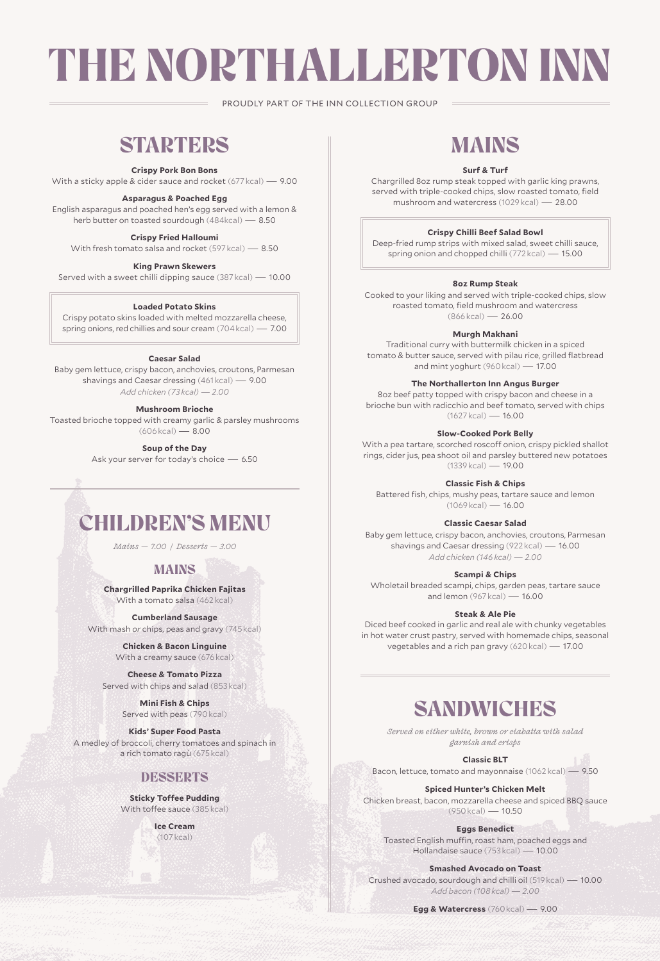# THE NORTHALLERTON INN

PROUDLY PART OF THE INN COLLECTION GROUP

# **STARTERS**

### **Crispy Pork Bon Bons**

With a sticky apple & cider sauce and rocket (677 kcal) — 9.00

### **Asparagus & Poached Egg**

English asparagus and poached hen's egg served with a lemon & herb butter on toasted sourdough (484kcal) — 8.50

### **Crispy Fried Halloumi**

With fresh tomato salsa and rocket (597 kcal) — 8.50

### **King Prawn Skewers**

Served with a sweet chilli dipping sauce (387 kcal) — 10.00

### **Loaded Potato Skins**

Crispy potato skins loaded with melted mozzarella cheese, spring onions, red chillies and sour cream (704 kcal) — 7.00

#### **Caesar Salad**

Baby gem lettuce, crispy bacon, anchovies, croutons, Parmesan shavings and Caesar dressing (461 kcal) — 9.00 *Add chicken (73 kcal) — 2.00*

### **Mushroom Brioche**

Toasted brioche topped with creamy garlic & parsley mushrooms (606 kcal) — 8.00

**Soup of the Day**

Ask your server for today's choice — 6.50

# CHILDREN'S MENU

*Mains — 7.00 / Desserts — 3.00*

### MAINS

**Chargrilled Paprika Chicken Fajitas** With a tomato salsa (462 kcal)

### **Cumberland Sausage**

With mash *or* chips, peas and gravy (745 kcal)

**Chicken & Bacon Linguine** With a creamy sauce (676 kcal)

**Cheese & Tomato Pizza**  Served with chips and salad (853 kcal)

> **Mini Fish & Chips** Served with peas (790 kcal)

**Kids' Super Food Pasta** A medley of broccoli, cherry tomatoes and spinach in a rich tomato ragù (675 kcal)

### **DESSERTS**

**Sticky Toffee Pudding** With toffee sauce (385 kcal)

> **Ice Cream** (107 kcal)

# MAINS

### **Surf & Turf**

Chargrilled 8oz rump steak topped with garlic king prawns, served with triple-cooked chips, slow roasted tomato, field mushroom and watercress (1029 kcal) — 28.00

### **Crispy Chilli Beef Salad Bowl**

Deep-fried rump strips with mixed salad, sweet chilli sauce, spring onion and chopped chilli (772 kcal) — 15.00

### **8oz Rump Steak**

Cooked to your liking and served with triple-cooked chips, slow roasted tomato, field mushroom and watercress (866 kcal) — 26.00

#### **Murgh Makhani**

Traditional curry with buttermilk chicken in a spiced tomato & butter sauce, served with pilau rice, grilled flatbread and mint yoghurt (960 kcal) — 17.00

#### **The Northallerton Inn Angus Burger**

8oz beef patty topped with crispy bacon and cheese in a brioche bun with radicchio and beef tomato, served with chips (1627 kcal) — 16.00

### **Slow-Cooked Pork Belly**

With a pea tartare, scorched roscoff onion, crispy pickled shallot rings, cider jus, pea shoot oil and parsley buttered new potatoes  $(1339 \text{ kcal}) - 19.00$ 

### **Classic Fish & Chips**

Battered fish, chips, mushy peas, tartare sauce and lemon (1069 kcal) — 16.00

#### **Classic Caesar Salad**

Baby gem lettuce, crispy bacon, anchovies, croutons, Parmesan shavings and Caesar dressing (922 kcal) — 16.00 *Add chicken (146 kcal) — 2.00*

### **Scampi & Chips**

Wholetail breaded scampi, chips, garden peas, tartare sauce and lemon (967 kcal) — 16.00

#### **Steak & Ale Pie**

Diced beef cooked in garlic and real ale with chunky vegetables in hot water crust pastry, served with homemade chips, seasonal vegetables and a rich pan gravy (620 kcal) — 17.00

### SANDWICHES

*Served on either white, brown or ciabatta with salad garnish and crisps* 

**Classic BLT** Bacon, lettuce, tomato and mayonnaise (1062 kcal) — 9.50

**Spiced Hunter's Chicken Melt**

Chicken breast, bacon, mozzarella cheese and spiced BBQ sauce (950 kcal) — 10.50

**Eggs Benedict**

Toasted English muffin, roast ham, poached eggs and Hollandaise sauce (753 kcal) — 10.00

**Smashed Avocado on Toast**

Crushed avocado, sourdough and chilli oil (519 kcal) — 10.00 *Add bacon (108 kcal) — 2.00*

**Egg & Watercress** (760 kcal) — 9.00